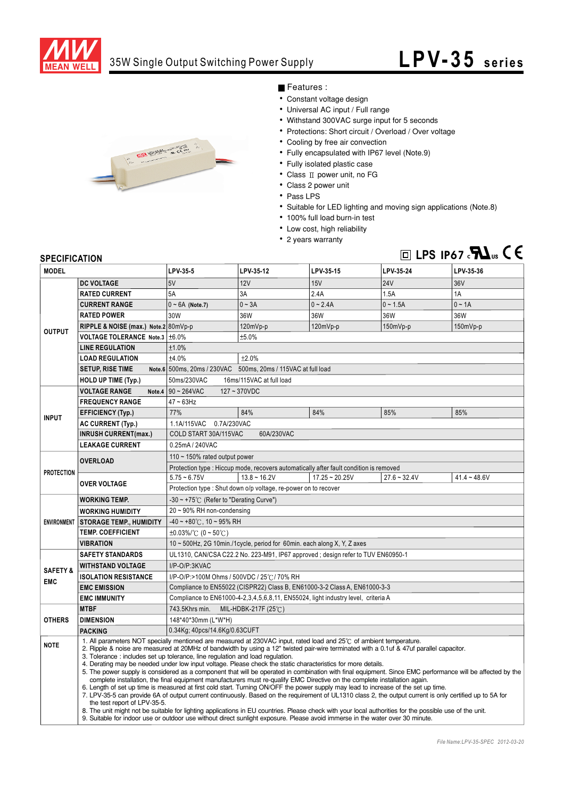

### 35W Single Output Switching Power Supply

# **LPV-35** series



#### Features :

- Constant voltage design
- Universal AC input / Full range
- Withstand 300VAC surge input for 5 seconds
- Protections: Short circuit / Overload / Over voltage
- Cooling by free air convection
- Fully encapsulated with IP67 level (Note.9)
- Fully isolated plastic case
- $\bullet$  Class  $\text{II}$  power unit, no FG
- Class 2 power unit
- Pass LPS
- Suitable for LED lighting and moving sign applications (Note.8)
- 100% full load burn-in test
- Low cost, high reliability
- 2 years warranty

## $\Box$  LPS IP67 $\cdot$ **7 L**<sub>us</sub>  $\zeta$   $\zeta$

#### **SPECIFICATION**

| <b>MODEL</b>                      |                                                                                                                                                                                                                                                                                                                                                                                                                                                                                                                                                                                                                                                                                                                                                                                                                                                                                                                                                                                                                                                                                                                                                                                                                                                                                                                                                                                           | LPV-35-5                                                                               | LPV-35-12      | LPV-35-15        | LPV-35-24      | LPV-35-36      |  |
|-----------------------------------|-------------------------------------------------------------------------------------------------------------------------------------------------------------------------------------------------------------------------------------------------------------------------------------------------------------------------------------------------------------------------------------------------------------------------------------------------------------------------------------------------------------------------------------------------------------------------------------------------------------------------------------------------------------------------------------------------------------------------------------------------------------------------------------------------------------------------------------------------------------------------------------------------------------------------------------------------------------------------------------------------------------------------------------------------------------------------------------------------------------------------------------------------------------------------------------------------------------------------------------------------------------------------------------------------------------------------------------------------------------------------------------------|----------------------------------------------------------------------------------------|----------------|------------------|----------------|----------------|--|
| <b>OUTPUT</b>                     | <b>DC VOLTAGE</b>                                                                                                                                                                                                                                                                                                                                                                                                                                                                                                                                                                                                                                                                                                                                                                                                                                                                                                                                                                                                                                                                                                                                                                                                                                                                                                                                                                         | 5V                                                                                     | 12V            | 15V              | <b>24V</b>     | 36V            |  |
|                                   | <b>RATED CURRENT</b>                                                                                                                                                                                                                                                                                                                                                                                                                                                                                                                                                                                                                                                                                                                                                                                                                                                                                                                                                                                                                                                                                                                                                                                                                                                                                                                                                                      | 5A                                                                                     | 3A             | 2.4A             | 1.5A           | 1A             |  |
|                                   | <b>CURRENT RANGE</b>                                                                                                                                                                                                                                                                                                                                                                                                                                                                                                                                                                                                                                                                                                                                                                                                                                                                                                                                                                                                                                                                                                                                                                                                                                                                                                                                                                      | $0 ~ 6A$ (Note.7)                                                                      | $0 - 3A$       | $0 - 2.4A$       | $0 - 1.5A$     | $0 \sim 1A$    |  |
|                                   | <b>RATED POWER</b>                                                                                                                                                                                                                                                                                                                                                                                                                                                                                                                                                                                                                                                                                                                                                                                                                                                                                                                                                                                                                                                                                                                                                                                                                                                                                                                                                                        | 30W                                                                                    | 36W            | 36W              | 36W            | 36W            |  |
|                                   | RIPPLE & NOISE (max.) Note.2 80mVp-p                                                                                                                                                                                                                                                                                                                                                                                                                                                                                                                                                                                                                                                                                                                                                                                                                                                                                                                                                                                                                                                                                                                                                                                                                                                                                                                                                      |                                                                                        | 120mVp-p       | 120mVp-p         | $150mVp-p$     | $150mVp-p$     |  |
|                                   | VOLTAGE TOLERANCE Note.3   ±6.0%                                                                                                                                                                                                                                                                                                                                                                                                                                                                                                                                                                                                                                                                                                                                                                                                                                                                                                                                                                                                                                                                                                                                                                                                                                                                                                                                                          |                                                                                        | ±5.0%          |                  |                |                |  |
|                                   | <b>LINE REGULATION</b>                                                                                                                                                                                                                                                                                                                                                                                                                                                                                                                                                                                                                                                                                                                                                                                                                                                                                                                                                                                                                                                                                                                                                                                                                                                                                                                                                                    | ±1.0%                                                                                  |                |                  |                |                |  |
|                                   | <b>LOAD REGULATION</b>                                                                                                                                                                                                                                                                                                                                                                                                                                                                                                                                                                                                                                                                                                                                                                                                                                                                                                                                                                                                                                                                                                                                                                                                                                                                                                                                                                    | ±4.0%                                                                                  | ±2.0%          |                  |                |                |  |
|                                   | <b>SETUP, RISE TIME</b>                                                                                                                                                                                                                                                                                                                                                                                                                                                                                                                                                                                                                                                                                                                                                                                                                                                                                                                                                                                                                                                                                                                                                                                                                                                                                                                                                                   | Note.6 500ms, 20ms / 230VAC 500ms, 20ms / 115VAC at full load                          |                |                  |                |                |  |
|                                   | <b>HOLD UP TIME (Typ.)</b>                                                                                                                                                                                                                                                                                                                                                                                                                                                                                                                                                                                                                                                                                                                                                                                                                                                                                                                                                                                                                                                                                                                                                                                                                                                                                                                                                                | 50ms/230VAC<br>16ms/115VAC at full load                                                |                |                  |                |                |  |
| <b>INPUT</b>                      | <b>VOLTAGE RANGE</b><br>Note.4                                                                                                                                                                                                                                                                                                                                                                                                                                                                                                                                                                                                                                                                                                                                                                                                                                                                                                                                                                                                                                                                                                                                                                                                                                                                                                                                                            | $90 - 264$ VAC<br>$127 - 370$ VDC                                                      |                |                  |                |                |  |
|                                   | <b>FREQUENCY RANGE</b>                                                                                                                                                                                                                                                                                                                                                                                                                                                                                                                                                                                                                                                                                                                                                                                                                                                                                                                                                                                                                                                                                                                                                                                                                                                                                                                                                                    | $47 - 63$ Hz                                                                           |                |                  |                |                |  |
|                                   | <b>EFFICIENCY (Typ.)</b>                                                                                                                                                                                                                                                                                                                                                                                                                                                                                                                                                                                                                                                                                                                                                                                                                                                                                                                                                                                                                                                                                                                                                                                                                                                                                                                                                                  | 77%                                                                                    | 84%            | 84%              | 85%            | 85%            |  |
|                                   | <b>AC CURRENT (Typ.)</b>                                                                                                                                                                                                                                                                                                                                                                                                                                                                                                                                                                                                                                                                                                                                                                                                                                                                                                                                                                                                                                                                                                                                                                                                                                                                                                                                                                  | 1.1A/115VAC 0.7A/230VAC                                                                |                |                  |                |                |  |
|                                   | <b>INRUSH CURRENT(max.)</b>                                                                                                                                                                                                                                                                                                                                                                                                                                                                                                                                                                                                                                                                                                                                                                                                                                                                                                                                                                                                                                                                                                                                                                                                                                                                                                                                                               | COLD START 30A/115VAC<br>60A/230VAC                                                    |                |                  |                |                |  |
|                                   | <b>LEAKAGE CURRENT</b>                                                                                                                                                                                                                                                                                                                                                                                                                                                                                                                                                                                                                                                                                                                                                                                                                                                                                                                                                                                                                                                                                                                                                                                                                                                                                                                                                                    | 0.25mA / 240VAC                                                                        |                |                  |                |                |  |
| <b>PROTECTION</b>                 | <b>OVERLOAD</b>                                                                                                                                                                                                                                                                                                                                                                                                                                                                                                                                                                                                                                                                                                                                                                                                                                                                                                                                                                                                                                                                                                                                                                                                                                                                                                                                                                           | 110 $\sim$ 150% rated output power                                                     |                |                  |                |                |  |
|                                   |                                                                                                                                                                                                                                                                                                                                                                                                                                                                                                                                                                                                                                                                                                                                                                                                                                                                                                                                                                                                                                                                                                                                                                                                                                                                                                                                                                                           | Protection type : Hiccup mode, recovers automatically after fault condition is removed |                |                  |                |                |  |
|                                   | <b>OVER VOLTAGE</b>                                                                                                                                                                                                                                                                                                                                                                                                                                                                                                                                                                                                                                                                                                                                                                                                                                                                                                                                                                                                                                                                                                                                                                                                                                                                                                                                                                       | $5.75 - 6.75V$                                                                         | $13.8 - 16.2V$ | $17.25 - 20.25V$ | $27.6 - 32.4V$ | $41.4 - 48.6V$ |  |
|                                   |                                                                                                                                                                                                                                                                                                                                                                                                                                                                                                                                                                                                                                                                                                                                                                                                                                                                                                                                                                                                                                                                                                                                                                                                                                                                                                                                                                                           | Protection type : Shut down o/p voltage, re-power on to recover                        |                |                  |                |                |  |
| <b>ENVIRONMENT</b>                | <b>WORKING TEMP.</b>                                                                                                                                                                                                                                                                                                                                                                                                                                                                                                                                                                                                                                                                                                                                                                                                                                                                                                                                                                                                                                                                                                                                                                                                                                                                                                                                                                      | -30 ~ +75℃ (Refer to "Derating Curve")                                                 |                |                  |                |                |  |
|                                   | <b>WORKING HUMIDITY</b>                                                                                                                                                                                                                                                                                                                                                                                                                                                                                                                                                                                                                                                                                                                                                                                                                                                                                                                                                                                                                                                                                                                                                                                                                                                                                                                                                                   | 20~90% RH non-condensing                                                               |                |                  |                |                |  |
|                                   | <b>STORAGE TEMP., HUMIDITY</b>                                                                                                                                                                                                                                                                                                                                                                                                                                                                                                                                                                                                                                                                                                                                                                                                                                                                                                                                                                                                                                                                                                                                                                                                                                                                                                                                                            | $-40 \sim +80^{\circ}$ C, 10 ~ 95% RH                                                  |                |                  |                |                |  |
|                                   | <b>TEMP. COEFFICIENT</b>                                                                                                                                                                                                                                                                                                                                                                                                                                                                                                                                                                                                                                                                                                                                                                                                                                                                                                                                                                                                                                                                                                                                                                                                                                                                                                                                                                  | $\pm 0.03\%$ /°C (0 ~ 50°C)                                                            |                |                  |                |                |  |
|                                   | <b>VIBRATION</b>                                                                                                                                                                                                                                                                                                                                                                                                                                                                                                                                                                                                                                                                                                                                                                                                                                                                                                                                                                                                                                                                                                                                                                                                                                                                                                                                                                          | 10 ~ 500Hz, 2G 10min./1cycle, period for 60min. each along X, Y, Z axes                |                |                  |                |                |  |
| <b>SAFETY &amp;</b><br><b>EMC</b> | <b>SAFETY STANDARDS</b>                                                                                                                                                                                                                                                                                                                                                                                                                                                                                                                                                                                                                                                                                                                                                                                                                                                                                                                                                                                                                                                                                                                                                                                                                                                                                                                                                                   | UL1310, CAN/CSA C22.2 No. 223-M91, IP67 approved ; design refer to TUV EN60950-1       |                |                  |                |                |  |
|                                   | <b>WITHSTAND VOLTAGE</b>                                                                                                                                                                                                                                                                                                                                                                                                                                                                                                                                                                                                                                                                                                                                                                                                                                                                                                                                                                                                                                                                                                                                                                                                                                                                                                                                                                  | I/P-O/P:3KVAC                                                                          |                |                  |                |                |  |
|                                   | <b>ISOLATION RESISTANCE</b>                                                                                                                                                                                                                                                                                                                                                                                                                                                                                                                                                                                                                                                                                                                                                                                                                                                                                                                                                                                                                                                                                                                                                                                                                                                                                                                                                               | I/P-O/P:>100M Ohms / 500VDC / 25℃/ 70% RH                                              |                |                  |                |                |  |
|                                   | <b>EMC EMISSION</b>                                                                                                                                                                                                                                                                                                                                                                                                                                                                                                                                                                                                                                                                                                                                                                                                                                                                                                                                                                                                                                                                                                                                                                                                                                                                                                                                                                       | Compliance to EN55022 (CISPR22) Class B, EN61000-3-2 Class A, EN61000-3-3              |                |                  |                |                |  |
|                                   | <b>EMC IMMUNITY</b>                                                                                                                                                                                                                                                                                                                                                                                                                                                                                                                                                                                                                                                                                                                                                                                                                                                                                                                                                                                                                                                                                                                                                                                                                                                                                                                                                                       | Compliance to EN61000-4-2,3,4,5,6,8,11, EN55024, light industry level, criteria A      |                |                  |                |                |  |
| <b>OTHERS</b>                     | <b>MTBF</b>                                                                                                                                                                                                                                                                                                                                                                                                                                                                                                                                                                                                                                                                                                                                                                                                                                                                                                                                                                                                                                                                                                                                                                                                                                                                                                                                                                               | 743.5Khrs min.<br>MIL-HDBK-217F (25 $°C$ )                                             |                |                  |                |                |  |
|                                   | <b>DIMENSION</b>                                                                                                                                                                                                                                                                                                                                                                                                                                                                                                                                                                                                                                                                                                                                                                                                                                                                                                                                                                                                                                                                                                                                                                                                                                                                                                                                                                          | 148*40*30mm (L*W*H)                                                                    |                |                  |                |                |  |
|                                   | <b>PACKING</b>                                                                                                                                                                                                                                                                                                                                                                                                                                                                                                                                                                                                                                                                                                                                                                                                                                                                                                                                                                                                                                                                                                                                                                                                                                                                                                                                                                            | 0.34Kg; 40pcs/14.6Kg/0.63CUFT                                                          |                |                  |                |                |  |
| <b>NOTE</b>                       | 1. All parameters NOT specially mentioned are measured at 230VAC input, rated load and 25°C of ambient temperature.<br>2. Ripple & noise are measured at 20MHz of bandwidth by using a 12" twisted pair-wire terminated with a 0.1uf & 47uf parallel capacitor.<br>3. Tolerance: includes set up tolerance, line regulation and load regulation.<br>4. Derating may be needed under low input voltage. Please check the static characteristics for more details.<br>5. The power supply is considered as a component that will be operated in combination with final equipment. Since EMC performance will be affected by the<br>complete installation, the final equipment manufacturers must re-qualify EMC Directive on the complete installation again.<br>6. Length of set up time is measured at first cold start. Turning ON/OFF the power supply may lead to increase of the set up time.<br>7. LPV-35-5 can provide 6A of output current continuously. Based on the requirement of UL1310 class 2, the output current is only certified up to 5A for<br>the test report of LPV-35-5.<br>8. The unit might not be suitable for lighting applications in EU countries. Please check with your local authorities for the possible use of the unit.<br>9. Suitable for indoor use or outdoor use without direct sunlight exposure. Please avoid immerse in the water over 30 minute. |                                                                                        |                |                  |                |                |  |